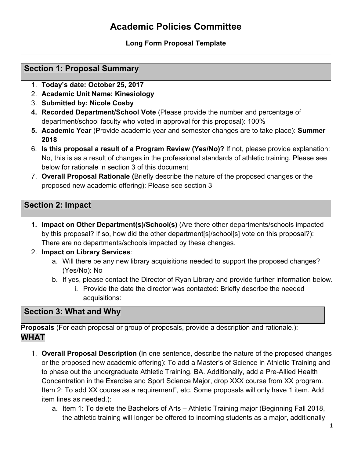# **Academic Policies Committee**

### **Long Form Proposal Template**

## **Section 1: Proposal Summary**

- 1. **Today's date: October 25, 2017**
- 2. **Academic Unit Name: Kinesiology**
- 3. **Submitted by: Nicole Cosby**
- **4. Recorded Department/School Vote** (Please provide the number and percentage of department/school faculty who voted in approval for this proposal): 100%
- **5. Academic Year** (Provide academic year and semester changes are to take place): **Summer 2018**
- 6. **Is this proposal a result of a Program Review (Yes/No)?** If not, please provide explanation: No, this is as a result of changes in the professional standards of athletic training. Please see below for rationale in section 3 of this document
- 7. **Overall Proposal Rationale (**Briefly describe the nature of the proposed changes or the proposed new academic offering): Please see section 3

## **Section 2: Impact**

- **1. Impact on Other Department(s)/School(s)** (Are there other departments/schools impacted by this proposal? If so, how did the other department[s]/school[s] vote on this proposal?): There are no departments/schools impacted by these changes.
- 2. **Impact on Library Services**:
	- a. Will there be any new library acquisitions needed to support the proposed changes? (Yes/No): No
	- b. If yes, please contact the Director of Ryan Library and provide further information below.
		- i. Provide the date the director was contacted: Briefly describe the needed acquisitions:

## **Section 3: What and Why**

**Proposals** (For each proposal or group of proposals, provide a description and rationale.): **WHAT** 

- 1. **Overall Proposal Description (**In one sentence, describe the nature of the proposed changes or the proposed new academic offering): To add a Master's of Science in Athletic Training and to phase out the undergraduate Athletic Training, BA. Additionally, add a Pre-Allied Health Concentration in the Exercise and Sport Science Major, drop XXX course from XX program. Item 2: To add XX course as a requirement", etc. Some proposals will only have 1 item. Add item lines as needed.):
	- a. Item 1: To delete the Bachelors of Arts Athletic Training major (Beginning Fall 2018, the athletic training will longer be offered to incoming students as a major, additionally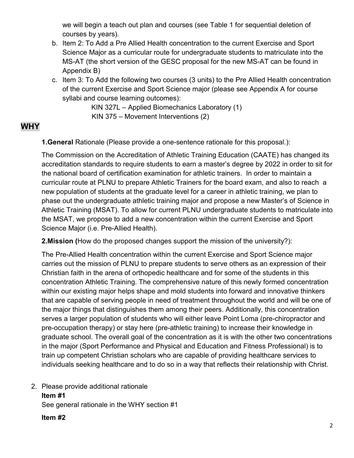we will begin a teach out plan and courses (see Table 1 for sequential deletion of courses by years).

- b. Item 2: To Add a Pre Allied Health concentration to the current Exercise and Sport Science Major as a curricular route for undergraduate students to matriculate into the MS-AT (the short version of the GESC proposal for the new MS-AT can be found in Appendix B)
- c. Item 3: To Add the following two courses (3 units) to the Pre Allied Health concentration of the current Exercise and Sport Science major (please see Appendix A for course syllabi and course learning outcomes):

 KIN 327L – Applied Biomechanics Laboratory (1) KIN 375 – Movement Interventions (2)

## **WHY**

**1.General** Rationale (Please provide a one-sentence rationale for this proposal.):

The Commission on the Accreditation of Athletic Training Education (CAATE) has changed its accreditation standards to require students to earn a master's degree by 2022 in order to sit for the national board of certification examination for athletic trainers. In order to maintain a curricular route at PLNU to prepare Athletic Trainers for the board exam, and also to reach a new population of students at the graduate level for a career in athletic training, we plan to phase out the undergraduate athletic training major and propose a new Master's of Science in Athletic Training (MSAT). To allow for current PLNU undergraduate students to matriculate into the MSAT, we propose to add a new concentration within the current Exercise and Sport Science Major (i.e. Pre-Allied Health).

**2.Mission (**How do the proposed changes support the mission of the university?):

The Pre-Allied Health concentration within the current Exercise and Sport Science major carries out the mission of PLNU to prepare students to serve others as an expression of their Christian faith in the arena of orthopedic healthcare and for some of the students in this concentration Athletic Training. The comprehensive nature of this newly formed concentration within our existing major helps shape and mold students into forward and innovative thinkers that are capable of serving people in need of treatment throughout the world and will be one of the major things that distinguishes them among their peers. Additionally, this concentration serves a larger population of students who will either leave Point Loma (pre-chiropractor and pre-occupation therapy) or stay here (pre-athletic training) to increase their knowledge in graduate school. The overall goal of the concentration as it is with the other two concentrations in the major (Sport Performance and Physical and Education and Fitness Professional) is to train up competent Christian scholars who are capable of providing healthcare services to individuals seeking healthcare and to do so in a way that reflects their relationship with Christ.

2. Please provide additional rationale **Item #1** See general rationale in the WHY section #1

#### **Item #2**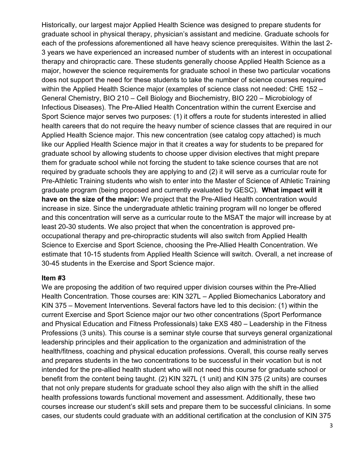Historically, our largest major Applied Health Science was designed to prepare students for graduate school in physical therapy, physician's assistant and medicine. Graduate schools for each of the professions aforementioned all have heavy science prerequisites. Within the last 2- 3 years we have experienced an increased number of students with an interest in occupational therapy and chiropractic care. These students generally choose Applied Health Science as a major, however the science requirements for graduate school in these two particular vocations does not support the need for these students to take the number of science courses required within the Applied Health Science major (examples of science class not needed: CHE 152 – General Chemistry, BIO 210 – Cell Biology and Biochemistry, BIO 220 – Microbiology of Infectious Diseases). The Pre-Allied Health Concentration within the current Exercise and Sport Science major serves two purposes: (1) it offers a route for students interested in allied health careers that do not require the heavy number of science classes that are required in our Applied Health Science major. This new concentration (see catalog copy attached) is much like our Applied Health Science major in that it creates a way for students to be prepared for graduate school by allowing students to choose upper division electives that might prepare them for graduate school while not forcing the student to take science courses that are not required by graduate schools they are applying to and (2) it will serve as a curricular route for Pre-Athletic Training students who wish to enter into the Master of Science of Athletic Training graduate program (being proposed and currently evaluated by GESC). **What impact will it have on the size of the major:** We project that the Pre-Allied Health concentration would increase in size. Since the undergraduate athletic training program will no longer be offered and this concentration will serve as a curricular route to the MSAT the major will increase by at least 20-30 students. We also project that when the concentration is approved preoccupational therapy and pre-chiropractic students will also switch from Applied Health Science to Exercise and Sport Science, choosing the Pre-Allied Health Concentration. We estimate that 10-15 students from Applied Health Science will switch. Overall, a net increase of 30-45 students in the Exercise and Sport Science major.

#### **Item #3**

We are proposing the addition of two required upper division courses within the Pre-Allied Health Concentration. Those courses are: KIN 327L – Applied Biomechanics Laboratory and KIN 375 – Movement Interventions. Several factors have led to this decision: (1) within the current Exercise and Sport Science major our two other concentrations (Sport Performance and Physical Education and Fitness Professionals) take EXS 480 – Leadership in the Fitness Professions (3 units). This course is a seminar style course that surveys general organizational leadership principles and their application to the organization and administration of the health/fitness, coaching and physical education professions. Overall, this course really serves and prepares students in the two concentrations to be successful in their vocation but is not intended for the pre-allied health student who will not need this course for graduate school or benefit from the content being taught. (2) KIN 327L (1 unit) and KIN 375 (2 units) are courses that not only prepare students for graduate school they also align with the shift in the allied health professions towards functional movement and assessment. Additionally, these two courses increase our student's skill sets and prepare them to be successful clinicians. In some cases, our students could graduate with an additional certification at the conclusion of KIN 375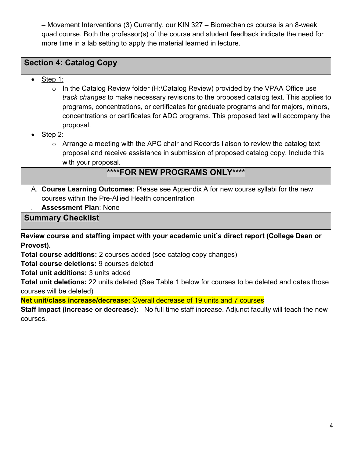– Movement Interventions (3) Currently, our KIN 327 – Biomechanics course is an 8-week quad course. Both the professor(s) of the course and student feedback indicate the need for more time in a lab setting to apply the material learned in lecture.

## **Section 4: Catalog Copy**

- Step 1:
	- o In the Catalog Review folder (H:\Catalog Review) provided by the VPAA Office use *track changes* to make necessary revisions to the proposed catalog text. This applies to programs, concentrations, or certificates for graduate programs and for majors, minors, concentrations or certificates for ADC programs. This proposed text will accompany the proposal.
- Step 2:
	- o Arrange a meeting with the APC chair and Records liaison to review the catalog text proposal and receive assistance in submission of proposed catalog copy. Include this with your proposal.

## **\*\*\*\*FOR NEW PROGRAMS ONLY\*\*\*\***

- A. **Course Learning Outcomes**: Please see Appendix A for new course syllabi for the new courses within the Pre-Allied Health concentration
	- **B. Assessment Plan**: None

**Summary Checklist** 

**Review course and staffing impact with your academic unit's direct report (College Dean or Provost).**

**Total course additions:** 2 courses added (see catalog copy changes)

**Total course deletions:** 9 courses deleted

**Total unit additions:** 3 units added

**Total unit deletions:** 22 units deleted (See Table 1 below for courses to be deleted and dates those courses will be deleted)

**Net unit/class increase/decrease:** Overall decrease of 19 units and 7 courses

**Staff impact (increase or decrease):** No full time staff increase. Adjunct faculty will teach the new courses.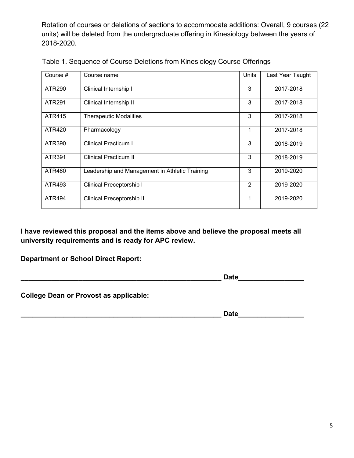Rotation of courses or deletions of sections to accommodate additions: Overall, 9 courses (22 units) will be deleted from the undergraduate offering in Kinesiology between the years of 2018-2020.

| Course #      | Course name                                    | Units | Last Year Taught |
|---------------|------------------------------------------------|-------|------------------|
| ATR290        | Clinical Internship I                          | 3     | 2017-2018        |
| ATR291        | Clinical Internship II                         | 3     | 2017-2018        |
| ATR415        | <b>Therapeutic Modalities</b>                  | 3     | 2017-2018        |
| ATR420        | Pharmacology                                   | 1     | 2017-2018        |
| ATR390        | <b>Clinical Practicum I</b>                    | 3     | 2018-2019        |
| ATR391        | <b>Clinical Practicum II</b>                   | 3     | 2018-2019        |
| ATR460        | Leadership and Management in Athletic Training | 3     | 2019-2020        |
| ATR493        | Clinical Preceptorship I                       | 2     | 2019-2020        |
| <b>ATR494</b> | Clinical Preceptorship II                      |       | 2019-2020        |

Table 1. Sequence of Course Deletions from Kinesiology Course Offerings

**I have reviewed this proposal and the items above and believe the proposal meets all university requirements and is ready for APC review.**

**Department or School Direct Report:**

**Date** 

**College Dean or Provost as applicable:**

**\_\_\_\_\_\_\_\_\_\_\_\_\_\_\_\_\_\_\_\_\_\_\_\_\_\_\_\_\_\_\_\_\_\_\_\_\_\_\_\_\_\_\_\_\_\_\_\_\_\_\_\_ Date\_\_\_\_\_\_\_\_\_\_\_\_\_\_\_\_\_**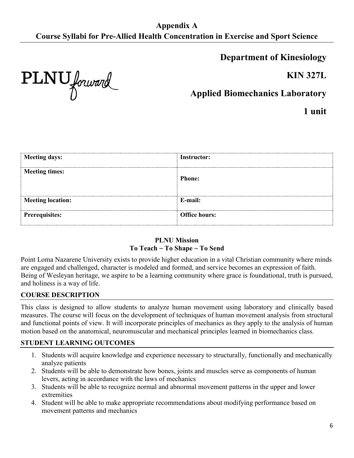**Department of Kinesiology**

**KIN 327L**

PLNU forward

**Applied Biomechanics Laboratory**

**1 unit**

| Meeting days:            | Instructor:          |
|--------------------------|----------------------|
| <b>Meeting times:</b>    | <b>Phone:</b>        |
|                          |                      |
| <b>Meeting location:</b> | E-mail:              |
|                          |                      |
| <b>Prerequisites:</b>    | <b>Office hours:</b> |

#### **PLNU Mission To Teach ~ To Shape ~ To Send**

Point Loma Nazarene University exists to provide higher education in a vital Christian community where minds are engaged and challenged, character is modeled and formed, and service becomes an expression of faith. Being of Wesleyan heritage, we aspire to be a learning community where grace is foundational, truth is pursued, and holiness is a way of life.

#### **COURSE DESCRIPTION**

This class is designed to allow students to analyze human movement using laboratory and clinically based measures. The course will focus on the development of techniques of human movement analysis from structural and functional points of view. It will incorporate principles of mechanics as they apply to the analysis of human motion based on the anatomical, neuromuscular and mechanical principles learned in biomechanics class.

#### **STUDENT LEARNING OUTCOMES**

- 1. Students will acquire knowledge and experience necessary to structurally, functionally and mechanically analyze patients
- 2. Students will be able to demonstrate how bones, joints and muscles serve as components of human levers, acting in accordance with the laws of mechanics
- 3. Students will be able to recognize normal and abnormal movement patterns in the upper and lower extremities
- 4. Student will be able to make appropriate recommendations about modifying performance based on movement patterns and mechanics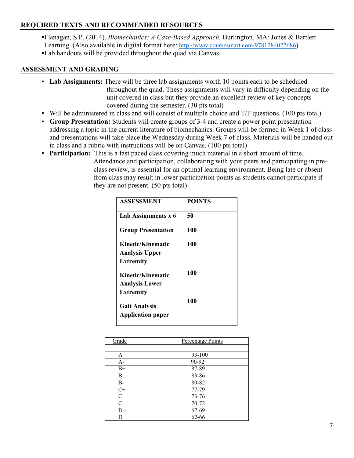#### **REQUIRED TEXTS AND RECOMMENDED RESOURCES**

▪Flanagan, S.P. (2014). *Biomechanics: A Case-Based Approach.* Burlington, MA: Jones & Bartlett Learning. (Also available in digital format here: [http://www.coursesmart.com/9781284027686\)](http://www.coursesmart.com/9781284027686) ▪Lab handouts will be provided throughout the quad via Canvas.

#### **ASSESSMENT AND GRADING**

- **Lab Assignments:** There will be three lab assignments worth 10 points each to be scheduled throughout the quad. These assignments will vary in difficulty depending on the unit covered in class but they provide an excellent review of key concepts covered during the semester. (30 pts total)
- Will be administered in class and will consist of multiple choice and T/F questions. (100 pts total)
- **Group Presentation:** Students will create groups of 3-4 and create a power point presentation addressing a topic in the current literature of biomechanics. Groups will be formed in Week 1 of class and presentations will take place the Wednesday during Week 7 of class. Materials will be handed out in class and a rubric with instructions will be on Canvas. (100 pts total)
- **Participation:** This is a fast paced class covering much material in a short amount of time. Attendance and participation, collaborating with your peers and participating in preclass review, is essential for an optimal learning environment. Being late or absent from class may result in lower participation points as students cannot participate if they are not present. (50 pts total)

| <b>ASSESSMENT</b>                                | <b>POINTS</b> |
|--------------------------------------------------|---------------|
| Lab Assignments x 6                              | 50            |
| <b>Group Presentation</b>                        | 100           |
| Kinetic/Kinematic                                | 100           |
| <b>Analysis Upper</b>                            |               |
| <b>Extremity</b>                                 |               |
| Kinetic/Kinematic                                | 100           |
| <b>Analysis Lower</b>                            |               |
| <b>Extremity</b>                                 |               |
| <b>Gait Analysis</b><br><b>Application paper</b> | 100           |

| Grade     | Percentage Points |  |
|-----------|-------------------|--|
|           |                   |  |
| A         | 93-100            |  |
| $A-$      | 90-92             |  |
| $B+$      | 87-89             |  |
| B         | 83-86             |  |
| <b>B-</b> | 80-82             |  |
| $C+$      | 77-79             |  |
| C         | 73-76             |  |
| $C-$      | 70-72             |  |
| $D+$      | 67-69             |  |
| D         | $62 - 66$         |  |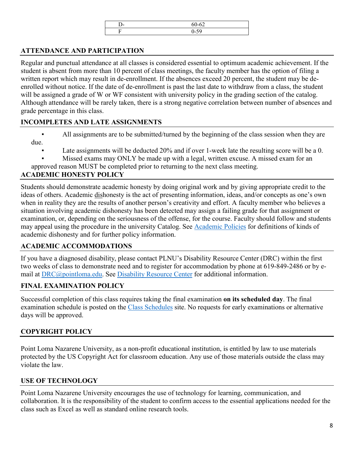|   | $\sim$ $\sim$ |  |
|---|---------------|--|
| - |               |  |
|   |               |  |

### **ATTENDANCE AND PARTICIPATION**

Regular and punctual attendance at all classes is considered essential to optimum academic achievement. If the student is absent from more than 10 percent of class meetings, the faculty member has the option of filing a written report which may result in de-enrollment. If the absences exceed 20 percent, the student may be deenrolled without notice. If the date of de-enrollment is past the last date to withdraw from a class, the student will be assigned a grade of W or WF consistent with university policy in the grading section of the catalog. Although attendance will be rarely taken, there is a strong negative correlation between number of absences and grade percentage in this class.

#### **INCOMPLETES AND LATE ASSIGNMENTS**

- All assignments are to be submitted/turned by the beginning of the class session when they are due.
	- Late assignments will be deducted 20% and if over 1-week late the resulting score will be a 0.
	- Missed exams may ONLY be made up with a legal, written excuse. A missed exam for an
- approved reason MUST be completed prior to returning to the next class meeting.

## **ACADEMIC HONESTY POLICY**

Students should demonstrate academic honesty by doing original work and by giving appropriate credit to the ideas of others. Academic dishonesty is the act of presenting information, ideas, and/or concepts as one's own when in reality they are the results of another person's creativity and effort. A faculty member who believes a situation involving academic dishonesty has been detected may assign a failing grade for that assignment or examination, or, depending on the seriousness of the offense, for the course. Faculty should follow and students may appeal using the procedure in the university Catalog. See [Academic Policies](http://catalog.pointloma.edu/content.php?catoid=18&navoid=1278) for definitions of kinds of academic dishonesty and for further policy information.

## **ACADEMIC ACCOMMODATIONS**

If you have a diagnosed disability, please contact PLNU's Disability Resource Center (DRC) within the first two weeks of class to demonstrate need and to register for accommodation by phone at 619-849-2486 or by email at [DRC@pointloma.edu.](mailto:DRC@pointloma.edu) See [Disability Resource Center](http://www.pointloma.edu/experience/offices/administrative-offices/academic-advising-office/disability-resource-center) for additional information.

#### **FINAL EXAMINATION POLICY**

Successful completion of this class requires taking the final examination **on its scheduled day**. The final examination schedule is posted on the [Class Schedules](http://www.pointloma.edu/experience/academics/class-schedules) site. No requests for early examinations or alternative days will be approved.

## **COPYRIGHT POLICY**

Point Loma Nazarene University, as a non-profit educational institution, is entitled by law to use materials protected by the US Copyright Act for classroom education. Any use of those materials outside the class may violate the law.

## **USE OF TECHNOLOGY**

Point Loma Nazarene University encourages the use of technology for learning, communication, and collaboration. It is the responsibility of the student to confirm access to the essential applications needed for the class such as Excel as well as standard online research tools.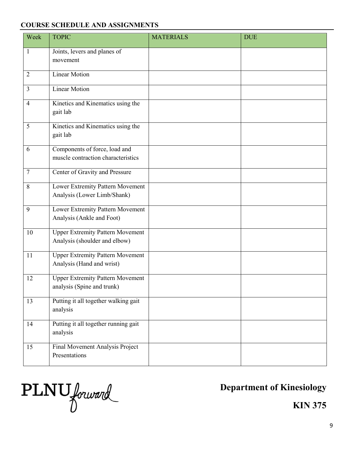#### **COURSE SCHEDULE AND ASSIGNMENTS**

| Week            | <b>TOPIC</b>                                                             | <b>MATERIALS</b> | <b>DUE</b> |
|-----------------|--------------------------------------------------------------------------|------------------|------------|
| $\mathbf{1}$    | Joints, levers and planes of<br>movement                                 |                  |            |
| $\overline{2}$  | <b>Linear Motion</b>                                                     |                  |            |
| 3               | <b>Linear Motion</b>                                                     |                  |            |
| $\overline{4}$  | Kinetics and Kinematics using the<br>gait lab                            |                  |            |
| 5               | Kinetics and Kinematics using the<br>gait lab                            |                  |            |
| 6               | Components of force, load and<br>muscle contraction characteristics      |                  |            |
| $\tau$          | Center of Gravity and Pressure                                           |                  |            |
| 8               | Lower Extremity Pattern Movement<br>Analysis (Lower Limb/Shank)          |                  |            |
| 9               | Lower Extremity Pattern Movement<br>Analysis (Ankle and Foot)            |                  |            |
| 10              | <b>Upper Extremity Pattern Movement</b><br>Analysis (shoulder and elbow) |                  |            |
| 11              | <b>Upper Extremity Pattern Movement</b><br>Analysis (Hand and wrist)     |                  |            |
| 12              | <b>Upper Extremity Pattern Movement</b><br>analysis (Spine and trunk)    |                  |            |
| $\overline{13}$ | Putting it all together walking gait<br>analysis                         |                  |            |
| 14              | Putting it all together running gait<br>analysis                         |                  |            |
| 15              | Final Movement Analysis Project<br>Presentations                         |                  |            |

PLNU forward

**Department of Kinesiology**

**KIN 375**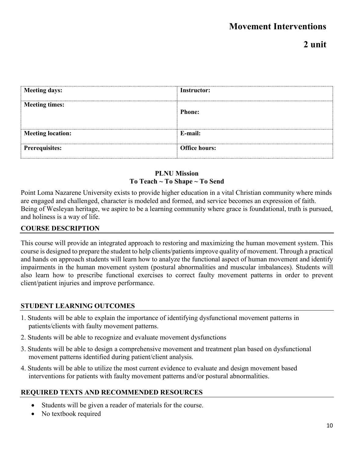## **2 unit**

| Meeting days:            | Instructor:          |
|--------------------------|----------------------|
| <b>Meeting times:</b>    | <b>Phone:</b>        |
| <b>Meeting location:</b> | E-mail:              |
| <b>Prerequisites:</b>    | <b>Office hours:</b> |

### **PLNU Mission To Teach ~ To Shape ~ To Send**

Point Loma Nazarene University exists to provide higher education in a vital Christian community where minds are engaged and challenged, character is modeled and formed, and service becomes an expression of faith. Being of Wesleyan heritage, we aspire to be a learning community where grace is foundational, truth is pursued, and holiness is a way of life.

#### **COURSE DESCRIPTION**

This course will provide an integrated approach to restoring and maximizing the human movement system. This course is designed to prepare the student to help clients/patients improve quality of movement. Through a practical and hands on approach students will learn how to analyze the functional aspect of human movement and identify impairments in the human movement system (postural abnormalities and muscular imbalances). Students will also learn how to prescribe functional exercises to correct faulty movement patterns in order to prevent client/patient injuries and improve performance.

#### **STUDENT LEARNING OUTCOMES**

- 1. Students will be able to explain the importance of identifying dysfunctional movement patterns in patients/clients with faulty movement patterns.
- 2. Students will be able to recognize and evaluate movement dysfunctions
- 3. Students will be able to design a comprehensive movement and treatment plan based on dysfunctional movement patterns identified during patient/client analysis.
- 4. Students will be able to utilize the most current evidence to evaluate and design movement based interventions for patients with faulty movement patterns and/or postural abnormalities.

#### **REQUIRED TEXTS AND RECOMMENDED RESOURCES**

- Students will be given a reader of materials for the course.
- No textbook required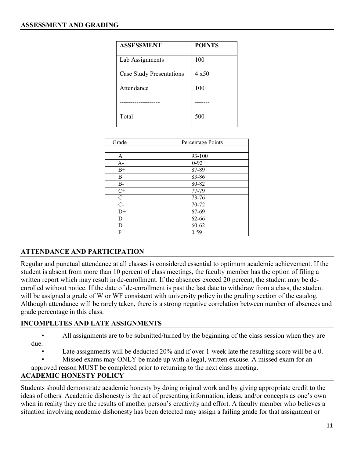| <b>ASSESSMENT</b>               | <b>POINTS</b> |
|---------------------------------|---------------|
| Lab Assignments                 | 100           |
| <b>Case Study Presentations</b> | $4 \times 50$ |
| Attendance                      | 100           |
|                                 |               |
| Total                           | 500           |

| Grade        | Percentage Points |  |
|--------------|-------------------|--|
|              |                   |  |
| A            | 93-100            |  |
| $A-$         | $0-92$            |  |
| $B+$         | 87-89             |  |
| В            | 83-86             |  |
| $B-$         | 80-82             |  |
| $C+$         | 77-79             |  |
| $\mathsf{C}$ | $73 - 76$         |  |
| $C-$         | 70-72             |  |
| $D+$         | 67-69             |  |
| D            | 62-66             |  |
| D-           | $60 - 62$         |  |
| F            | $0 - 59$          |  |

#### **ATTENDANCE AND PARTICIPATION**

Regular and punctual attendance at all classes is considered essential to optimum academic achievement. If the student is absent from more than 10 percent of class meetings, the faculty member has the option of filing a written report which may result in de-enrollment. If the absences exceed 20 percent, the student may be deenrolled without notice. If the date of de-enrollment is past the last date to withdraw from a class, the student will be assigned a grade of W or WF consistent with university policy in the grading section of the catalog. Although attendance will be rarely taken, there is a strong negative correlation between number of absences and grade percentage in this class.

#### **INCOMPLETES AND LATE ASSIGNMENTS**

All assignments are to be submitted/turned by the beginning of the class session when they are due.

Late assignments will be deducted 20% and if over 1-week late the resulting score will be a 0.

Missed exams may ONLY be made up with a legal, written excuse. A missed exam for an

approved reason MUST be completed prior to returning to the next class meeting.

#### **ACADEMIC HONESTY POLICY**

Students should demonstrate academic honesty by doing original work and by giving appropriate credit to the ideas of others. Academic dishonesty is the act of presenting information, ideas, and/or concepts as one's own when in reality they are the results of another person's creativity and effort. A faculty member who believes a situation involving academic dishonesty has been detected may assign a failing grade for that assignment or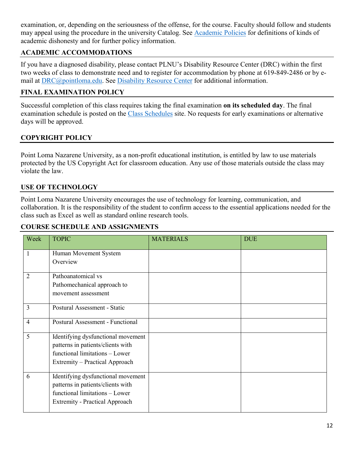examination, or, depending on the seriousness of the offense, for the course. Faculty should follow and students may appeal using the procedure in the university Catalog. See [Academic Policies](http://catalog.pointloma.edu/content.php?catoid=18&navoid=1278) for definitions of kinds of academic dishonesty and for further policy information.

### **ACADEMIC ACCOMMODATIONS**

If you have a diagnosed disability, please contact PLNU's Disability Resource Center (DRC) within the first two weeks of class to demonstrate need and to register for accommodation by phone at 619-849-2486 or by email at [DRC@pointloma.edu.](mailto:DRC@pointloma.edu) See [Disability Resource Center](http://www.pointloma.edu/experience/offices/administrative-offices/academic-advising-office/disability-resource-center) for additional information.

#### **FINAL EXAMINATION POLICY**

Successful completion of this class requires taking the final examination **on its scheduled day**. The final examination schedule is posted on the [Class Schedules](http://www.pointloma.edu/experience/academics/class-schedules) site. No requests for early examinations or alternative days will be approved.

### **COPYRIGHT POLICY**

Point Loma Nazarene University, as a non-profit educational institution, is entitled by law to use materials protected by the US Copyright Act for classroom education. Any use of those materials outside the class may violate the law.

#### **USE OF TECHNOLOGY**

Point Loma Nazarene University encourages the use of technology for learning, communication, and collaboration. It is the responsibility of the student to confirm access to the essential applications needed for the class such as Excel as well as standard online research tools.

#### **COURSE SCHEDULE AND ASSIGNMENTS**

| Week           | <b>TOPIC</b>                          | <b>MATERIALS</b> | <b>DUE</b> |
|----------------|---------------------------------------|------------------|------------|
| 1              | Human Movement System                 |                  |            |
|                | Overview                              |                  |            |
| $\overline{2}$ | Pathoanatomical vs                    |                  |            |
|                | Pathomechanical approach to           |                  |            |
|                | movement assessment                   |                  |            |
| $\overline{3}$ | Postural Assessment - Static          |                  |            |
| $\overline{4}$ | Postural Assessment - Functional      |                  |            |
| 5              | Identifying dysfunctional movement    |                  |            |
|                | patterns in patients/clients with     |                  |            |
|                | functional limitations - Lower        |                  |            |
|                | Extremity – Practical Approach        |                  |            |
| 6              | Identifying dysfunctional movement    |                  |            |
|                | patterns in patients/clients with     |                  |            |
|                | functional limitations - Lower        |                  |            |
|                | <b>Extremity - Practical Approach</b> |                  |            |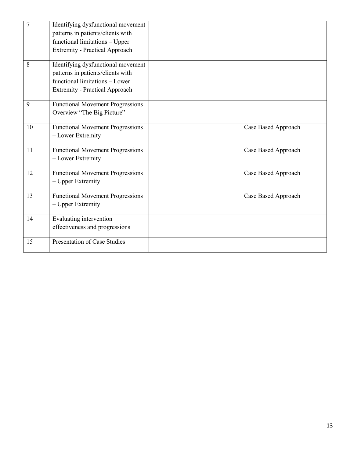| $\overline{7}$ | Identifying dysfunctional movement<br>patterns in patients/clients with<br>functional limitations - Upper<br><b>Extremity - Practical Approach</b> |                     |
|----------------|----------------------------------------------------------------------------------------------------------------------------------------------------|---------------------|
| 8              | Identifying dysfunctional movement<br>patterns in patients/clients with<br>functional limitations - Lower<br><b>Extremity - Practical Approach</b> |                     |
| 9              | <b>Functional Movement Progressions</b><br>Overview "The Big Picture"                                                                              |                     |
| 10             | <b>Functional Movement Progressions</b><br>- Lower Extremity                                                                                       | Case Based Approach |
| 11             | <b>Functional Movement Progressions</b><br>- Lower Extremity                                                                                       | Case Based Approach |
| 12             | <b>Functional Movement Progressions</b><br>- Upper Extremity                                                                                       | Case Based Approach |
| 13             | <b>Functional Movement Progressions</b><br>- Upper Extremity                                                                                       | Case Based Approach |
| 14             | Evaluating intervention<br>effectiveness and progressions                                                                                          |                     |
| 15             | Presentation of Case Studies                                                                                                                       |                     |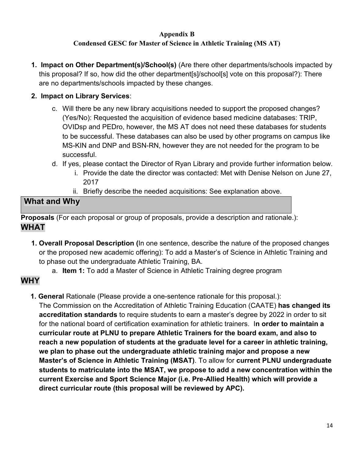#### **Appendix B Condensed GESC for Master of Science in Athletic Training (MS AT)**

**1. Impact on Other Department(s)/School(s)** (Are there other departments/schools impacted by this proposal? If so, how did the other department[s]/school[s] vote on this proposal?): There are no departments/schools impacted by these changes.

## **2. Impact on Library Services**:

- c. Will there be any new library acquisitions needed to support the proposed changes? (Yes/No): Requested the acquisition of evidence based medicine databases: TRIP, OVIDsp and PEDro, however, the MS AT does not need these databases for students to be successful. These databases can also be used by other programs on campus like MS-KIN and DNP and BSN-RN, however they are not needed for the program to be successful.
- d. If yes, please contact the Director of Ryan Library and provide further information below.
	- i. Provide the date the director was contacted: Met with Denise Nelson on June 27, 2017
	- ii. Briefly describe the needed acquisitions: See explanation above.

## **What and Why**

**Proposals** (For each proposal or group of proposals, provide a description and rationale.): **WHAT** 

- **1. Overall Proposal Description (**In one sentence, describe the nature of the proposed changes or the proposed new academic offering): To add a Master's of Science in Athletic Training and to phase out the undergraduate Athletic Training, BA.
	- a. **Item 1:** To add a Master of Science in Athletic Training degree program

## **WHY**

**1. General** Rationale (Please provide a one-sentence rationale for this proposal.):

The Commission on the Accreditation of Athletic Training Education (CAATE) **has changed its accreditation standards** to require students to earn a master's degree by 2022 in order to sit for the national board of certification examination for athletic trainers. I**n order to maintain a curricular route at PLNU to prepare Athletic Trainers for the board exam, and also to reach a new population of students at the graduate level for a career in athletic training, we plan to phase out the undergraduate athletic training major and propose a new Master's of Science in Athletic Training (MSAT)**. To allow for **current PLNU undergraduate students to matriculate into the MSAT, we propose to add a new concentration within the current Exercise and Sport Science Major (i.e. Pre-Allied Health) which will provide a direct curricular route (this proposal will be reviewed by APC).**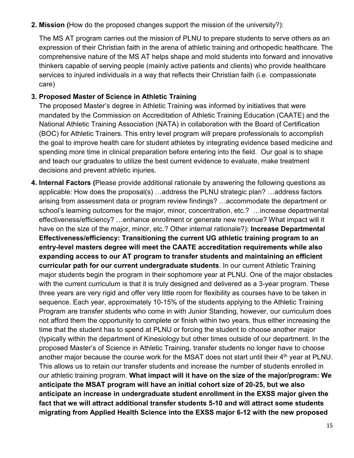**2. Mission (**How do the proposed changes support the mission of the university?):

The MS AT program carries out the mission of PLNU to prepare students to serve others as an expression of their Christian faith in the arena of athletic training and orthopedic healthcare. The comprehensive nature of the MS AT helps shape and mold students into forward and innovative thinkers capable of serving people (mainly active patients and clients) who provide healthcare services to injured individuals in a way that reflects their Christian faith (i.e. compassionate care)

#### **3. Proposed Master of Science in Athletic Training**

The proposed Master's degree in Athletic Training was informed by initiatives that were mandated by the Commission on Accreditation of Athletic Training Education (CAATE) and the National Athletic Training Association (NATA) in collaboration with the Board of Certification (BOC) for Athletic Trainers. This entry level program will prepare professionals to accomplish the goal to improve health care for student athletes by integrating evidence based medicine and spending more time in clinical preparation before entering into the field. Our goal is to shape and teach our graduates to utilize the best current evidence to evaluate, make treatment decisions and prevent athletic injuries.

**4. Internal Factors (**Please provide additional rationale by answering the following questions as applicable: How does the proposal(s) …address the PLNU strategic plan? …address factors arising from assessment data or program review findings? …accommodate the department or school's learning outcomes for the major, minor, concentration, etc.? …increase departmental effectiveness/efficiency? …enhance enrollment or generate new revenue? What impact will it have on the size of the major, minor, etc.? Other internal rationale?): **Increase Departmental Effectiveness/efficiency: Transitioning the current UG athletic training program to an entry-level masters degree will meet the CAATE accreditation requirements while also expanding access to our AT program to transfer students and maintaining an efficient curricular path for our current undergraduate students**. In our current Athletic Training major students begin the program in their sophomore year at PLNU. One of the major obstacles with the current curriculum is that it is truly designed and delivered as a 3-year program. These three years are very rigid and offer very little room for flexibility as courses have to be taken in sequence. Each year, approximately 10-15% of the students applying to the Athletic Training Program are transfer students who come in with Junior Standing, however, our curriculum does not afford them the opportunity to complete or finish within two years, thus either increasing the time that the student has to spend at PLNU or forcing the student to choose another major (typically within the department of Kinesiology but other times outside of our department. In the proposed Master's of Science in Athletic Training, transfer students no longer have to choose another major because the course work for the MSAT does not start until their  $4<sup>th</sup>$  year at PLNU. This allows us to retain our transfer students and increase the number of students enrolled in our athletic training program. **What impact will it have on the size of the major/program: We anticipate the MSAT program will have an initial cohort size of 20-25, but we also anticipate an increase in undergraduate student enrollment in the EXSS major given the fact that we will attract additional transfer students 5-10 and will attract some students migrating from Applied Health Science into the EXSS major 6-12 with the new proposed**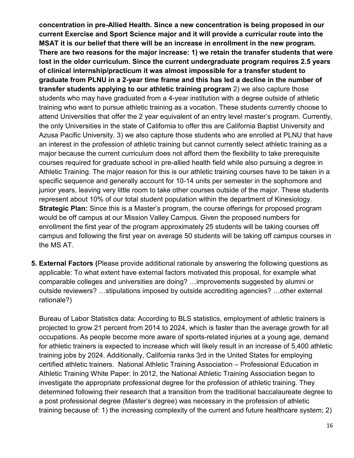**concentration in pre-Allied Health. Since a new concentration is being proposed in our current Exercise and Sport Science major and it will provide a curricular route into the MSAT it is our belief that there will be an increase in enrollment in the new program. There are two reasons for the major increase: 1) we retain the transfer students that were lost in the older curriculum. Since the current undergraduate program requires 2.5 years of clinical internship/practicum it was almost impossible for a transfer student to graduate from PLNU in a 2-year time frame and this has led a decline in the number of transfer students applying to our athletic training program** 2) we also capture those students who may have graduated from a 4-year institution with a degree outside of athletic training who want to pursue athletic training as a vocation. These students currently choose to attend Universities that offer the 2 year equivalent of an entry level master's program. Currently, the only Universities in the state of California to offer this are California Baptist University and Azusa Pacific University. 3) we also capture those students who are enrolled at PLNU that have an interest in the profession of athletic training but cannot currently select athletic training as a major because the current curriculum does not afford them the flexibility to take prerequisite courses required for graduate school in pre-allied health field while also pursuing a degree in Athletic Training. The major reason for this is our athletic training courses have to be taken in a specific sequence and generally account for 10-14 units per semester in the sophomore and junior years, leaving very little room to take other courses outside of the major. These students represent about 10% of our total student population within the department of Kinesiology. **Strategic Plan:** Since this is a Master's program, the course offerings for proposed program would be off campus at our Mission Valley Campus. Given the proposed numbers for enrollment the first year of the program approximately 25 students will be taking courses off campus and following the first year on average 50 students will be taking off campus courses in the MS AT.

**5. External Factors (**Please provide additional rationale by answering the following questions as applicable: To what extent have external factors motivated this proposal, for example what comparable colleges and universities are doing? …improvements suggested by alumni or outside reviewers? …stipulations imposed by outside accrediting agencies? …other external rationale?)

Bureau of Labor Statistics data: According to BLS statistics, employment of athletic trainers is projected to grow 21 percent from 2014 to 2024, which is faster than the average growth for all occupations. As people become more aware of sports-related injuries at a young age, demand for athletic trainers is expected to increase which will likely result in an increase of 5,400 athletic training jobs by 2024. Additionally, California ranks 3rd in the United States for employing certified athletic trainers. National Athletic Training Association – Professional Education in Athletic Training White Paper: In 2012, the National Athletic Training Association began to investigate the appropriate professional degree for the profession of athletic training. They determined following their research that a transition from the traditional baccalaureate degree to a post professional degree (Master's degree) was necessary in the profession of athletic training because of: 1) the increasing complexity of the current and future healthcare system; 2)